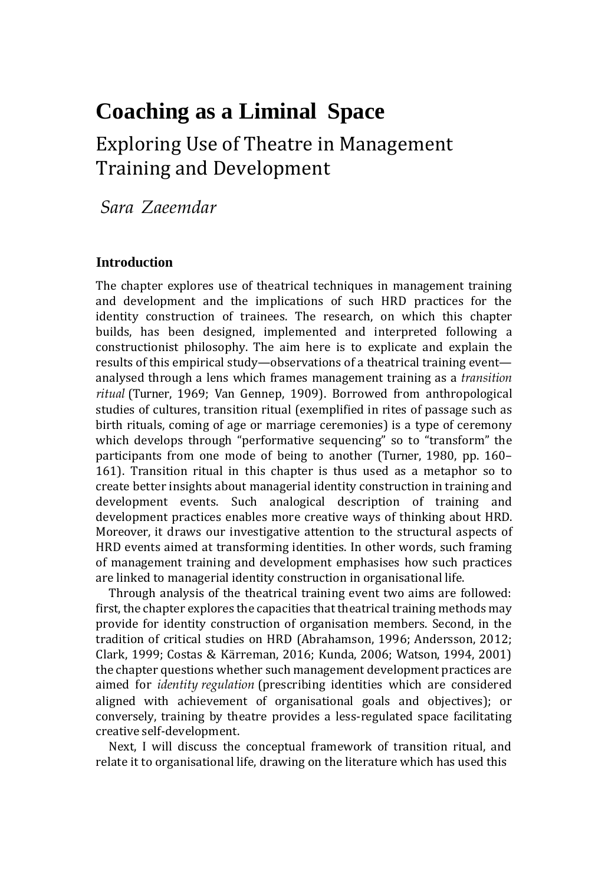# **Coaching as a Liminal Space**

# Exploring Use of Theatre in Management Training and Development

*Sara Zaeemdar*

#### **Introduction**

The chapter explores use of theatrical techniques in management training and development and the implications of such HRD practices for the identity construction of trainees. The research, on which this chapter builds, has been designed, implemented and interpreted following a constructionist philosophy. The aim here is to explicate and explain the results of this empirical study—observations of a theatrical training event analysed through a lens which frames management training as a *transition ritual* (Turner, 1969; Van Gennep, 1909). Borrowed from anthropological studies of cultures, transition ritual (exemplified in rites of passage such as birth rituals, coming of age or marriage ceremonies) is a type of ceremony which develops through "performative sequencing" so to "transform" the participants from one mode of being to another (Turner, 1980, pp. 160– 161). Transition ritual in this chapter is thus used as a metaphor so to create better insights about managerial identity construction in training and development events. Such analogical description of training and development practices enables more creative ways of thinking about HRD. Moreover, it draws our investigative attention to the structural aspects of HRD events aimed at transforming identities. In other words, such framing of management training and development emphasises how such practices are linked to managerial identity construction in organisational life.

Through analysis of the theatrical training event two aims are followed: first, the chapter explores the capacities that theatrical training methods may provide for identity construction of organisation members. Second, in the tradition of critical studies on HRD (Abrahamson, 1996; Andersson, 2012; Clark, 1999; Costas & Kärreman, 2016; Kunda, 2006; Watson, 1994, 2001) the chapter questions whether such management development practices are aimed for *identity regulation* (prescribing identities which are considered aligned with achievement of organisational goals and objectives); or conversely, training by theatre provides a less-regulated space facilitating creative self-development.

Next, I will discuss the conceptual framework of transition ritual, and relate it to organisational life, drawing on the literature which has used this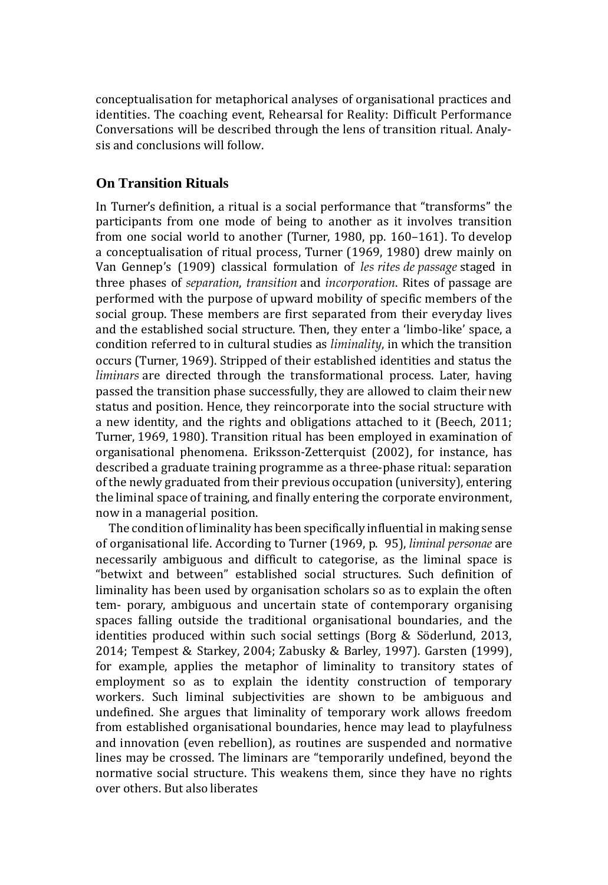conceptualisation for metaphorical analyses of organisational practices and identities. The coaching event, Rehearsal for Reality: Difficult Performance Conversations will be described through the lens of transition ritual. Analysis and conclusions will follow.

# **On Transition Rituals**

In Turner's definition, a ritual is a social performance that "transforms" the participants from one mode of being to another as it involves transition from one social world to another (Turner, 1980, pp. 160–161). To develop a conceptualisation of ritual process, Turner (1969, 1980) drew mainly on Van Gennep's (1909) classical formulation of *les rites de passage* staged in three phases of *separation*, *transition* and *incorporation*. Rites of passage are performed with the purpose of upward mobility of specific members of the social group. These members are first separated from their everyday lives and the established social structure. Then, they enter a 'limbo-like' space, a condition referred to in cultural studies as *liminality*, in which the transition occurs (Turner, 1969). Stripped of their established identities and status the *liminars* are directed through the transformational process. Later, having passed the transition phase successfully, they are allowed to claim their new status and position. Hence, they reincorporate into the social structure with a new identity, and the rights and obligations attached to it (Beech, 2011; Turner, 1969, 1980). Transition ritual has been employed in examination of organisational phenomena. Eriksson-Zetterquist (2002), for instance, has described a graduate training programme as a three-phase ritual: separation of the newly graduated from their previous occupation (university), entering the liminal space of training, and finally entering the corporate environment, now in a managerial position.

The condition of liminality has been specifically influential in making sense of organisational life. According to Turner (1969, p. 95), *liminal personae* are necessarily ambiguous and difficult to categorise, as the liminal space is "betwixt and between" established social structures. Such definition of liminality has been used by organisation scholars so as to explain the often tem- porary, ambiguous and uncertain state of contemporary organising spaces falling outside the traditional organisational boundaries, and the identities produced within such social settings (Borg & Söderlund, 2013, 2014; Tempest & Starkey, 2004; Zabusky & Barley, 1997). Garsten (1999), for example, applies the metaphor of liminality to transitory states of employment so as to explain the identity construction of temporary workers. Such liminal subjectivities are shown to be ambiguous and undefined. She argues that liminality of temporary work allows freedom from established organisational boundaries, hence may lead to playfulness and innovation (even rebellion), as routines are suspended and normative lines may be crossed. The liminars are "temporarily undefined, beyond the normative social structure. This weakens them, since they have no rights over others. But alsoliberates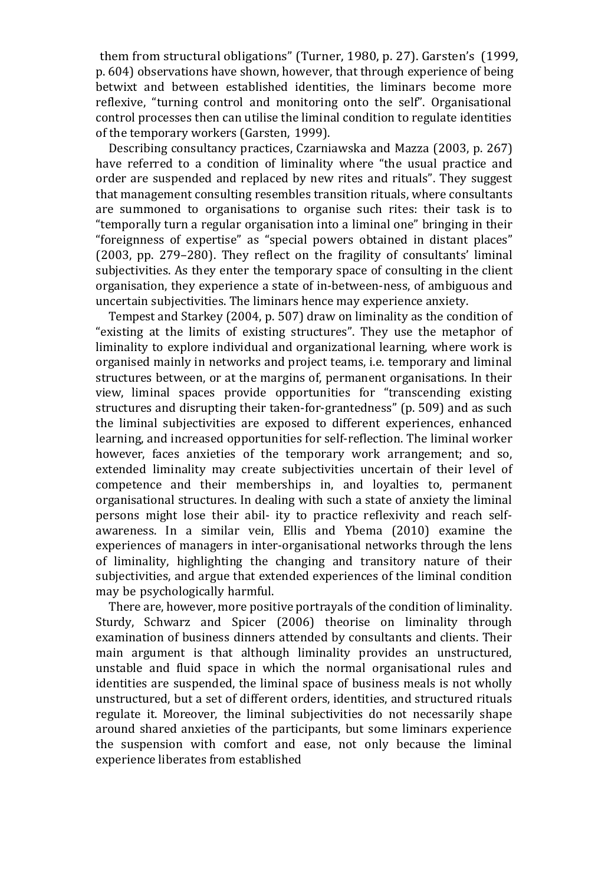them from structural obligations" (Turner, 1980, p. 27). Garsten's (1999, p. 604) observations have shown, however, that through experience of being betwixt and between established identities, the liminars become more reflexive, "turning control and monitoring onto the self". Organisational control processes then can utilise the liminal condition to regulate identities of the temporary workers (Garsten, 1999).

Describing consultancy practices, Czarniawska and Mazza (2003, p. 267) have referred to a condition of liminality where "the usual practice and order are suspended and replaced by new rites and rituals". They suggest that management consulting resembles transition rituals, where consultants are summoned to organisations to organise such rites: their task is to "temporally turn a regular organisation into a liminal one" bringing in their "foreignness of expertise" as "special powers obtained in distant places" (2003, pp. 279–280). They reflect on the fragility of consultants' liminal subjectivities. As they enter the temporary space of consulting in the client organisation, they experience a state of in-between-ness, of ambiguous and uncertain subjectivities. The liminars hence may experience anxiety.

Tempest and Starkey (2004, p. 507) draw on liminality as the condition of "existing at the limits of existing structures". They use the metaphor of liminality to explore individual and organizational learning, where work is organised mainly in networks and project teams, i.e. temporary and liminal structures between, or at the margins of, permanent organisations. In their view, liminal spaces provide opportunities for "transcending existing structures and disrupting their taken-for-grantedness" (p. 509) and as such the liminal subjectivities are exposed to different experiences, enhanced learning, and increased opportunities for self-reflection. The liminal worker however, faces anxieties of the temporary work arrangement; and so, extended liminality may create subjectivities uncertain of their level of competence and their memberships in, and loyalties to, permanent organisational structures. In dealing with such a state of anxiety the liminal persons might lose their abil- ity to practice reflexivity and reach selfawareness. In a similar vein, Ellis and Ybema (2010) examine the experiences of managers in inter-organisational networks through the lens of liminality, highlighting the changing and transitory nature of their subjectivities, and argue that extended experiences of the liminal condition may be psychologically harmful.

There are, however, more positive portrayals of the condition of liminality. Sturdy, Schwarz and Spicer (2006) theorise on liminality through examination of business dinners attended by consultants and clients. Their main argument is that although liminality provides an unstructured, unstable and fluid space in which the normal organisational rules and identities are suspended, the liminal space of business meals is not wholly unstructured, but a set of different orders, identities, and structured rituals regulate it. Moreover, the liminal subjectivities do not necessarily shape around shared anxieties of the participants, but some liminars experience the suspension with comfort and ease, not only because the liminal experience liberates from established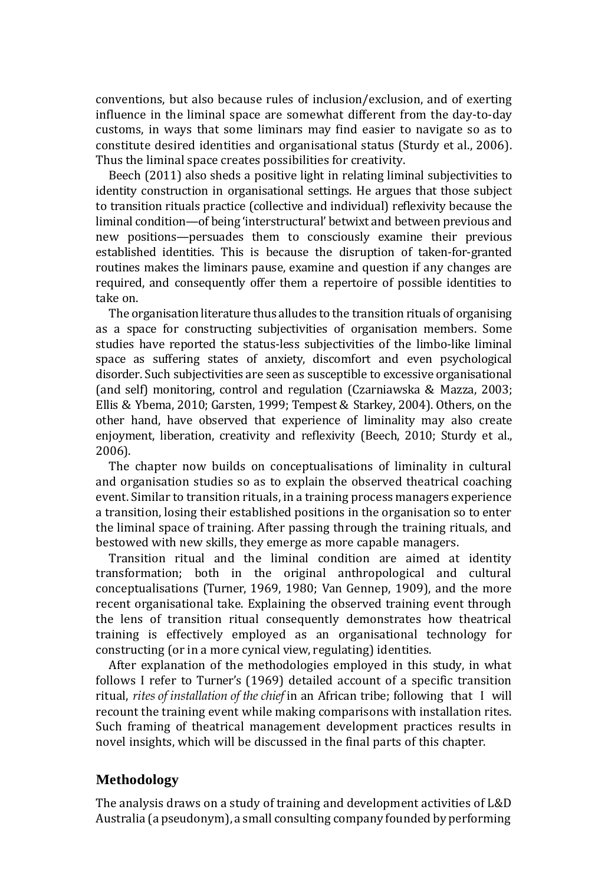conventions, but also because rules of inclusion/exclusion, and of exerting influence in the liminal space are somewhat different from the day-to-day customs, in ways that some liminars may find easier to navigate so as to constitute desired identities and organisational status (Sturdy et al., 2006). Thus the liminal space creates possibilities for creativity.

Beech (2011) also sheds a positive light in relating liminal subjectivities to identity construction in organisational settings. He argues that those subject to transition rituals practice (collective and individual) reflexivity because the liminal condition—of being 'interstructural' betwixt and between previous and new positions—persuades them to consciously examine their previous established identities. This is because the disruption of taken-for-granted routines makes the liminars pause, examine and question if any changes are required, and consequently offer them a repertoire of possible identities to take on.

The organisation literature thus alludes to the transition rituals of organising as a space for constructing subjectivities of organisation members. Some studies have reported the status-less subjectivities of the limbo-like liminal space as suffering states of anxiety, discomfort and even psychological disorder. Such subjectivities are seen as susceptible to excessive organisational (and self) monitoring, control and regulation (Czarniawska & Mazza, 2003; Ellis & Ybema, 2010; Garsten, 1999; Tempest & Starkey, 2004). Others, on the other hand, have observed that experience of liminality may also create enjoyment, liberation, creativity and reflexivity (Beech, 2010; Sturdy et al., 2006).

The chapter now builds on conceptualisations of liminality in cultural and organisation studies so as to explain the observed theatrical coaching event. Similar to transition rituals, in a training process managers experience a transition, losing their established positions in the organisation so to enter the liminal space of training. After passing through the training rituals, and bestowed with new skills, they emerge as more capable managers.

Transition ritual and the liminal condition are aimed at identity transformation; both in the original anthropological and cultural conceptualisations (Turner, 1969, 1980; Van Gennep, 1909), and the more recent organisational take. Explaining the observed training event through the lens of transition ritual consequently demonstrates how theatrical training is effectively employed as an organisational technology for constructing (or in a more cynical view, regulating) identities.

After explanation of the methodologies employed in this study, in what follows I refer to Turner's (1969) detailed account of a specific transition ritual, *rites of installation of the chief* in an African tribe; following that I will recount the training event while making comparisons with installation rites. Such framing of theatrical management development practices results in novel insights, which will be discussed in the final parts of this chapter.

## **Methodology**

The analysis draws on a study of training and development activities of L&D Australia (a pseudonym), a small consulting company founded by performing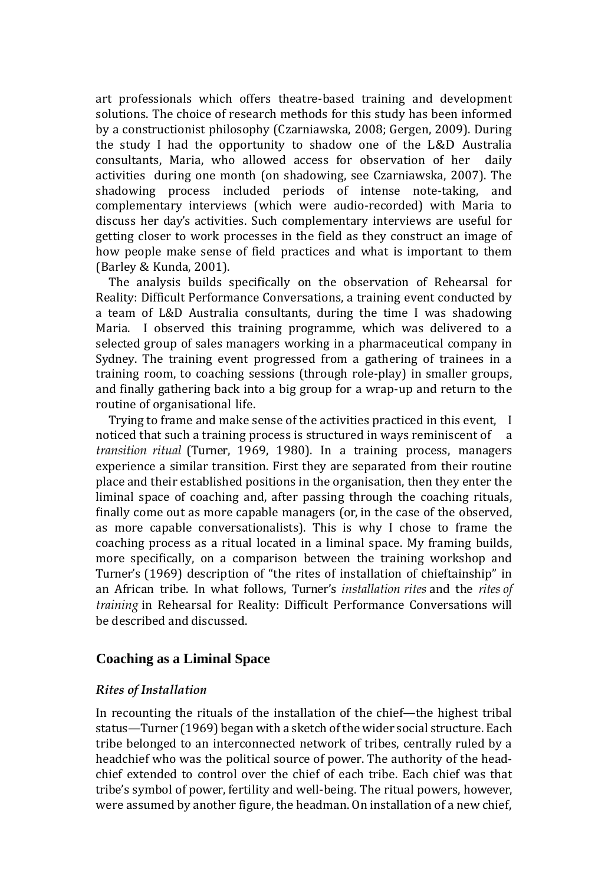art professionals which offers theatre-based training and development solutions. The choice of research methods for this study has been informed by a constructionist philosophy (Czarniawska, 2008; Gergen, 2009). During the study I had the opportunity to shadow one of the L&D Australia<br>consultants. Maria, who allowed access for observation of her daily consultants, Maria, who allowed access for observation of her activities during one month (on shadowing, see Czarniawska, 2007). The shadowing process included periods of intense note-taking, and complementary interviews (which were audio-recorded) with Maria to discuss her day's activities. Such complementary interviews are useful for getting closer to work processes in the field as they construct an image of how people make sense of field practices and what is important to them (Barley & Kunda, 2001).

The analysis builds specifically on the observation of Rehearsal for Reality: Difficult Performance Conversations, a training event conducted by a team of L&D Australia consultants, during the time I was shadowing Maria. I observed this training programme, which was delivered to a selected group of sales managers working in a pharmaceutical company in Sydney. The training event progressed from a gathering of trainees in a training room, to coaching sessions (through role-play) in smaller groups, and finally gathering back into a big group for a wrap-up and return to the routine of organisational life.

Trying to frame and make sense of the activities practiced in this event, I noticed that such a training process is structured in ways reminiscent of a *transition ritual* (Turner, 1969, 1980). In a training process, managers experience a similar transition. First they are separated from their routine place and their established positions in the organisation, then they enter the liminal space of coaching and, after passing through the coaching rituals, finally come out as more capable managers (or, in the case of the observed, as more capable conversationalists). This is why I chose to frame the coaching process as a ritual located in a liminal space. My framing builds, more specifically, on a comparison between the training workshop and Turner's (1969) description of "the rites of installation of chieftainship" in an African tribe. In what follows, Turner's *installation rites* and the *rites of training* in Rehearsal for Reality: Difficult Performance Conversations will be described and discussed.

#### **Coaching as a Liminal Space**

#### *Rites of Installation*

In recounting the rituals of the installation of the chief—the highest tribal status—Turner (1969) began with a sketch of the wider social structure. Each tribe belonged to an interconnected network of tribes, centrally ruled by a headchief who was the political source of power. The authority of the headchief extended to control over the chief of each tribe. Each chief was that tribe's symbol of power, fertility and well-being. The ritual powers, however, were assumed by another figure, the headman. On installation of a new chief,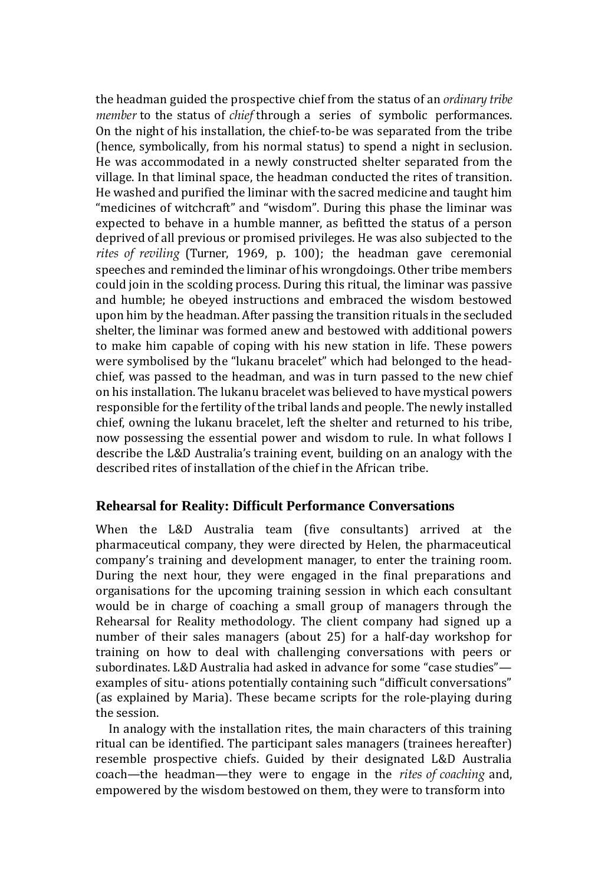the headman guided the prospective chief from the status of an *ordinary tribe member* to the status of *chief* through a series of symbolic performances. On the night of his installation, the chief-to-be was separated from the tribe (hence, symbolically, from his normal status) to spend a night in seclusion. He was accommodated in a newly constructed shelter separated from the village. In that liminal space, the headman conducted the rites of transition. He washed and purified the liminar with the sacred medicine and taught him "medicines of witchcraft" and "wisdom". During this phase the liminar was expected to behave in a humble manner, as befitted the status of a person deprived of all previous or promised privileges. He was also subjected to the *rites of reviling* (Turner, 1969, p. 100); the headman gave ceremonial speeches and reminded the liminar of his wrongdoings. Other tribe members could join in the scolding process. During this ritual, the liminar was passive and humble; he obeyed instructions and embraced the wisdom bestowed upon him by the headman. After passing the transition rituals in the secluded shelter, the liminar was formed anew and bestowed with additional powers to make him capable of coping with his new station in life. These powers were symbolised by the "lukanu bracelet" which had belonged to the headchief, was passed to the headman, and was in turn passed to the new chief on his installation. The lukanu bracelet was believed to have mystical powers responsible for the fertility of the tribal lands and people. The newly installed chief, owning the lukanu bracelet, left the shelter and returned to his tribe, now possessing the essential power and wisdom to rule. In what follows I describe the L&D Australia's training event, building on an analogy with the described rites of installation of the chief in the African tribe.

#### **Rehearsal for Reality: Difficult Performance Conversations**

When the L&D Australia team (five consultants) arrived at the pharmaceutical company, they were directed by Helen, the pharmaceutical company's training and development manager, to enter the training room. During the next hour, they were engaged in the final preparations and organisations for the upcoming training session in which each consultant would be in charge of coaching a small group of managers through the Rehearsal for Reality methodology. The client company had signed up a number of their sales managers (about 25) for a half-day workshop for training on how to deal with challenging conversations with peers or subordinates. L&D Australia had asked in advance for some "case studies" examples of situ- ations potentially containing such "difficult conversations" (as explained by Maria). These became scripts for the role-playing during the session.

In analogy with the installation rites, the main characters of this training ritual can be identified. The participant sales managers (trainees hereafter) resemble prospective chiefs. Guided by their designated L&D Australia coach—the headman—they were to engage in the *rites of coaching* and, empowered by the wisdom bestowed on them, they were to transform into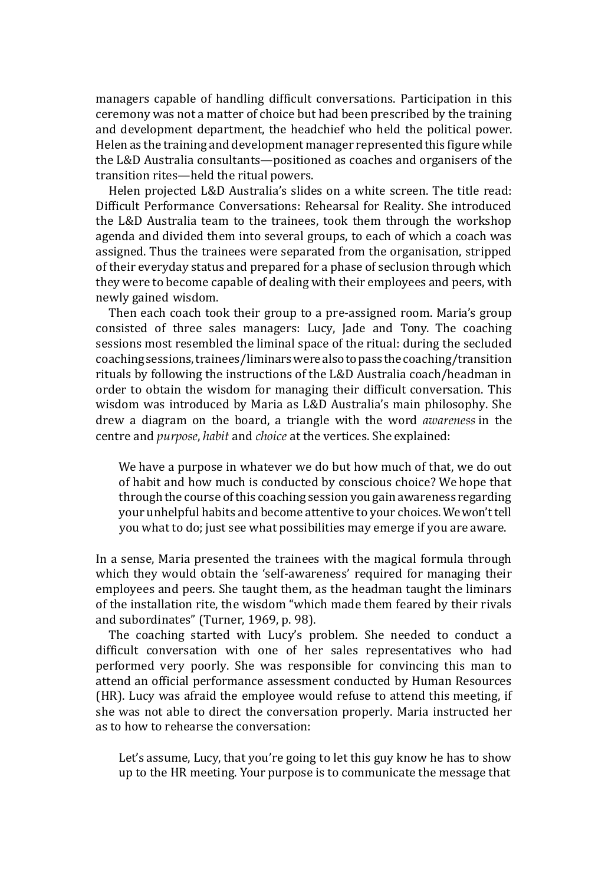managers capable of handling difficult conversations. Participation in this ceremony was not a matter of choice but had been prescribed by the training and development department, the headchief who held the political power. Helen as the training and development manager represented this figure while the L&D Australia consultants—positioned as coaches and organisers of the transition rites—held the ritual powers.

Helen projected L&D Australia's slides on a white screen. The title read: Difficult Performance Conversations: Rehearsal for Reality. She introduced the L&D Australia team to the trainees, took them through the workshop agenda and divided them into several groups, to each of which a coach was assigned. Thus the trainees were separated from the organisation, stripped of their everyday status and prepared for a phase of seclusion through which they were to become capable of dealing with their employees and peers, with newly gained wisdom.

Then each coach took their group to a pre-assigned room. Maria's group consisted of three sales managers: Lucy, Jade and Tony. The coaching sessions most resembled the liminal space of the ritual: during the secluded coachingsessions,trainees/liminarswerealsotopass thecoaching/transition rituals by following the instructions of the L&D Australia coach/headman in order to obtain the wisdom for managing their difficult conversation. This wisdom was introduced by Maria as L&D Australia's main philosophy. She drew a diagram on the board, a triangle with the word *awareness* in the centre and *purpose*, *habit* and *choice* at the vertices. She explained:

We have a purpose in whatever we do but how much of that, we do out of habit and how much is conducted by conscious choice? We hope that through the course ofthis coaching session you gain awareness regarding your unhelpful habits and become attentive to your choices. We won't tell you what to do; just see what possibilities may emerge if you are aware.

In a sense, Maria presented the trainees with the magical formula through which they would obtain the 'self-awareness' required for managing their employees and peers. She taught them, as the headman taught the liminars of the installation rite, the wisdom "which made them feared by their rivals and subordinates" (Turner, 1969, p. 98).

The coaching started with Lucy's problem. She needed to conduct a difficult conversation with one of her sales representatives who had performed very poorly. She was responsible for convincing this man to attend an official performance assessment conducted by Human Resources (HR). Lucy was afraid the employee would refuse to attend this meeting, if she was not able to direct the conversation properly. Maria instructed her as to how to rehearse the conversation:

Let's assume, Lucy, that you're going to let this guy know he has to show up to the HR meeting. Your purpose is to communicate the message that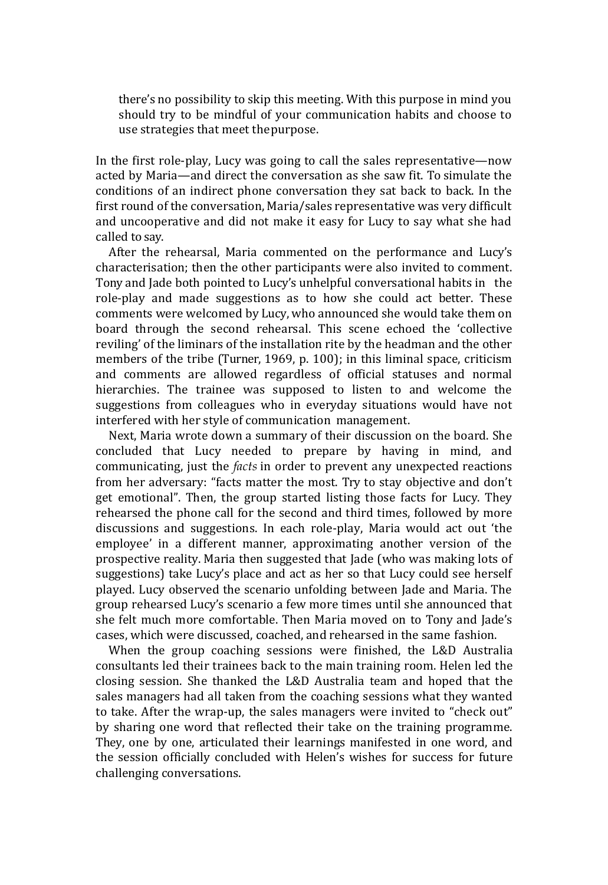there's no possibility to skip this meeting. With this purpose in mind you should try to be mindful of your communication habits and choose to use strategies that meet thepurpose.

In the first role-play, Lucy was going to call the sales representative—now acted by Maria—and direct the conversation as she saw fit. To simulate the conditions of an indirect phone conversation they sat back to back. In the first round of the conversation, Maria/sales representative was very difficult and uncooperative and did not make it easy for Lucy to say what she had called to say.

After the rehearsal, Maria commented on the performance and Lucy's characterisation; then the other participants were also invited to comment. Tony and Jade both pointed to Lucy's unhelpful conversational habits in the role-play and made suggestions as to how she could act better. These comments were welcomed by Lucy, who announced she would take them on board through the second rehearsal. This scene echoed the 'collective reviling' of the liminars of the installation rite by the headman and the other members of the tribe (Turner, 1969, p. 100); in this liminal space, criticism and comments are allowed regardless of official statuses and normal hierarchies. The trainee was supposed to listen to and welcome the suggestions from colleagues who in everyday situations would have not interfered with her style of communication management.

Next, Maria wrote down a summary of their discussion on the board. She concluded that Lucy needed to prepare by having in mind, and communicating, just the *facts* in order to prevent any unexpected reactions from her adversary: "facts matter the most. Try to stay objective and don't get emotional". Then, the group started listing those facts for Lucy. They rehearsed the phone call for the second and third times, followed by more discussions and suggestions. In each role-play, Maria would act out 'the employee' in a different manner, approximating another version of the prospective reality. Maria then suggested that Jade (who was making lots of suggestions) take Lucy's place and act as her so that Lucy could see herself played. Lucy observed the scenario unfolding between Jade and Maria. The group rehearsed Lucy's scenario a few more times until she announced that she felt much more comfortable. Then Maria moved on to Tony and Jade's cases, which were discussed, coached, and rehearsed in the same fashion.

When the group coaching sessions were finished, the L&D Australia consultants led their trainees back to the main training room. Helen led the closing session. She thanked the L&D Australia team and hoped that the sales managers had all taken from the coaching sessions what they wanted to take. After the wrap-up, the sales managers were invited to "check out" by sharing one word that reflected their take on the training programme. They, one by one, articulated their learnings manifested in one word, and the session officially concluded with Helen's wishes for success for future challenging conversations.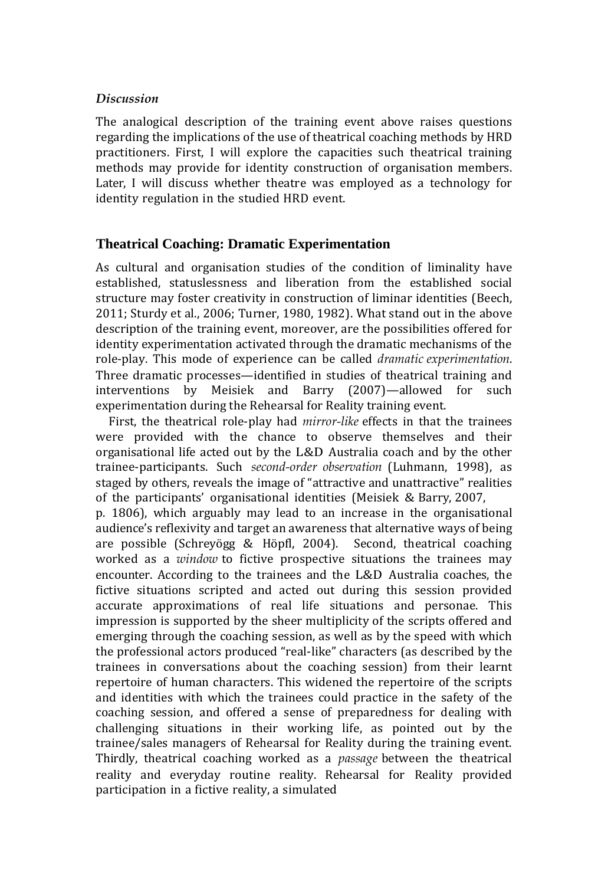#### *Discussion*

The analogical description of the training event above raises questions regarding the implications of the use of theatrical coaching methods by HRD practitioners. First, I will explore the capacities such theatrical training methods may provide for identity construction of organisation members. Later, I will discuss whether theatre was employed as a technology for identity regulation in the studied HRD event.

#### **Theatrical Coaching: Dramatic Experimentation**

As cultural and organisation studies of the condition of liminality have established, statuslessness and liberation from the established social structure may foster creativity in construction of liminar identities (Beech, 2011; Sturdy et al., 2006; Turner, 1980, 1982). What stand out in the above description of the training event, moreover, are the possibilities offered for identity experimentation activated through the dramatic mechanisms of the role-play. This mode of experience can be called *dramatic experimentation*. Three dramatic processes—identified in studies of theatrical training and interventions by Meisiek and Barry (2007)—allowed for such interventions by Meisiek and Barry (2007)—allowed for experimentation during the Rehearsal for Reality training event.

First, the theatrical role-play had *mirror-like* effects in that the trainees were provided with the chance to observe themselves and their organisational life acted out by the L&D Australia coach and by the other trainee-participants. Such *second-order observation* (Luhmann, 1998), as staged by others, reveals the image of "attractive and unattractive" realities of the participants' organisational identities (Meisiek & Barry, 2007,

p. 1806), which arguably may lead to an increase in the organisational audience's reflexivity and target an awareness that alternative ways of being are possible (Schreyögg & Höpfl, 2004). Second, theatrical coaching worked as a *window* to fictive prospective situations the trainees may encounter. According to the trainees and the L&D Australia coaches, the fictive situations scripted and acted out during this session provided accurate approximations of real life situations and personae. This impression is supported by the sheer multiplicity of the scripts offered and emerging through the coaching session, as well as by the speed with which the professional actors produced "real-like" characters (as described by the trainees in conversations about the coaching session) from their learnt repertoire of human characters. This widened the repertoire of the scripts and identities with which the trainees could practice in the safety of the coaching session, and offered a sense of preparedness for dealing with challenging situations in their working life, as pointed out by the trainee/sales managers of Rehearsal for Reality during the training event. Thirdly, theatrical coaching worked as a *passage* between the theatrical reality and everyday routine reality. Rehearsal for Reality provided participation in a fictive reality, a simulated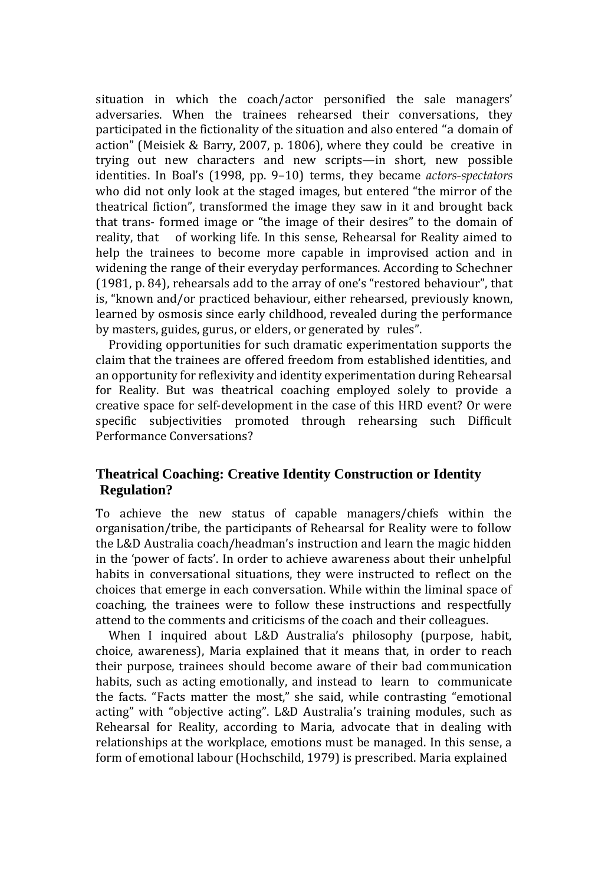situation in which the coach/actor personified the sale managers' adversaries. When the trainees rehearsed their conversations, they participated in the fictionality of the situation and also entered "a domain of action" (Meisiek & Barry, 2007, p. 1806), where they could be creative in trying out new characters and new scripts—in short, new possible identities. In Boal's (1998, pp. 9–10) terms, they became *actors-spectators*  who did not only look at the staged images, but entered "the mirror of the theatrical fiction", transformed the image they saw in it and brought back that trans- formed image or "the image of their desires" to the domain of reality, that of working life. In this sense, Rehearsal for Reality aimed to of working life. In this sense, Rehearsal for Reality aimed to help the trainees to become more capable in improvised action and in widening the range of their everyday performances. According to Schechner (1981, p. 84), rehearsals add to the array of one's "restored behaviour", that is, "known and/or practiced behaviour, either rehearsed, previously known, learned by osmosis since early childhood, revealed during the performance by masters, guides, gurus, or elders, or generated by rules".

Providing opportunities for such dramatic experimentation supports the claim that the trainees are offered freedom from established identities, and an opportunity for reflexivity and identity experimentation during Rehearsal for Reality. But was theatrical coaching employed solely to provide a creative space for self-development in the case of this HRD event? Or were specific subjectivities promoted through rehearsing such Difficult Performance Conversations?

## **Theatrical Coaching: Creative Identity Construction or Identity Regulation?**

To achieve the new status of capable managers/chiefs within the organisation/tribe, the participants of Rehearsal for Reality were to follow the L&D Australia coach/headman's instruction and learn the magic hidden in the 'power of facts'. In order to achieve awareness about their unhelpful habits in conversational situations, they were instructed to reflect on the choices that emerge in each conversation. While within the liminal space of coaching, the trainees were to follow these instructions and respectfully attend to the comments and criticisms of the coach and their colleagues.

When I inquired about L&D Australia's philosophy (purpose, habit, choice, awareness), Maria explained that it means that, in order to reach their purpose, trainees should become aware of their bad communication habits, such as acting emotionally, and instead to learn to communicate the facts. "Facts matter the most," she said, while contrasting "emotional acting" with "objective acting". L&D Australia's training modules, such as Rehearsal for Reality, according to Maria, advocate that in dealing with relationships at the workplace, emotions must be managed. In this sense, a form of emotional labour (Hochschild, 1979) is prescribed. Maria explained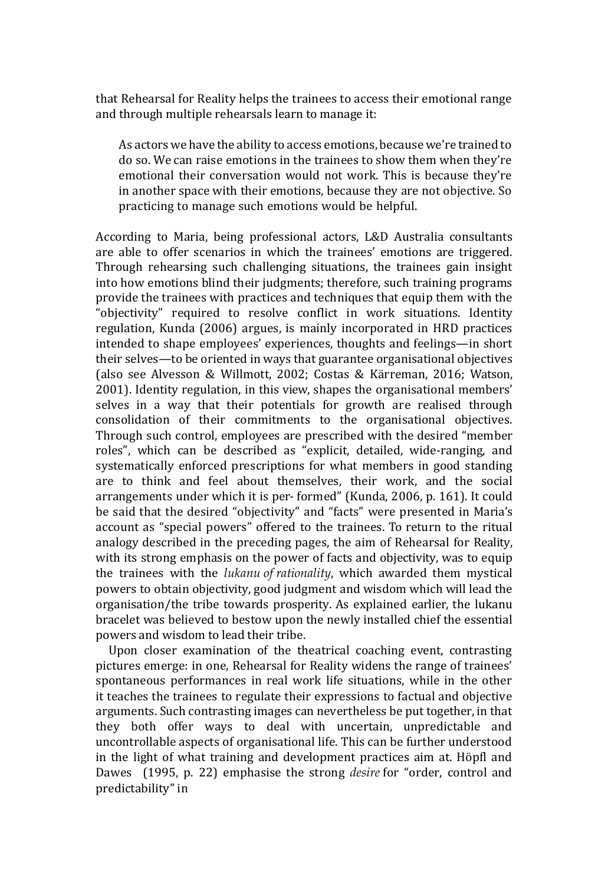that Rehearsal for Reality helps the trainees to access their emotional range and through multiple rehearsals learn to manage it:

As actors we have the ability to access emotions, because we're trained to do so. We can raise emotions in the trainees to show them when they're emotional their conversation would not work. This is because they're in another space with their emotions, because they are not objective. So practicing to manage such emotions would be helpful.

According to Maria, being professional actors, L&D Australia consultants are able to offer scenarios in which the trainees' emotions are triggered. Through rehearsing such challenging situations, the trainees gain insight into how emotions blind their judgments; therefore, such training programs provide the trainees with practices and techniques that equip them with the "objectivity" required to resolve conflict in work situations. Identity regulation, Kunda (2006) argues, is mainly incorporated in HRD practices intended to shape employees' experiences, thoughts and feelings—in short their selves—to be oriented in ways that guarantee organisational objectives (also see Alvesson & Willmott, 2002; Costas & Kärreman, 2016; Watson, 2001). Identity regulation, in this view, shapes the organisational members' selves in a way that their potentials for growth are realised through consolidation of their commitments to the organisational objectives. Through such control, employees are prescribed with the desired "member roles", which can be described as "explicit, detailed, wide-ranging, and systematically enforced prescriptions for what members in good standing are to think and feel about themselves, their work, and the social arrangements under which it is per- formed" (Kunda, 2006, p. 161). It could be said that the desired "objectivity" and "facts" were presented in Maria's account as "special powers" offered to the trainees. To return to the ritual analogy described in the preceding pages, the aim of Rehearsal for Reality, with its strong emphasis on the power of facts and objectivity, was to equip the trainees with the *lukanu of rationality*, which awarded them mystical powers to obtain objectivity, good judgment and wisdom which will lead the organisation/the tribe towards prosperity. As explained earlier, the lukanu bracelet was believed to bestow upon the newly installed chief the essential powers and wisdom to lead their tribe.

Upon closer examination of the theatrical coaching event, contrasting pictures emerge: in one, Rehearsal for Reality widens the range of trainees' spontaneous performances in real work life situations, while in the other it teaches the trainees to regulate their expressions to factual and objective arguments. Such contrasting images can nevertheless be put together, in that they both offer ways to deal with uncertain, unpredictable and uncontrollable aspects of organisational life. This can be further understood in the light of what training and development practices aim at. Höpfl and Dawes (1995, p. 22) emphasise the strong *desire* for "order, control and predictability" in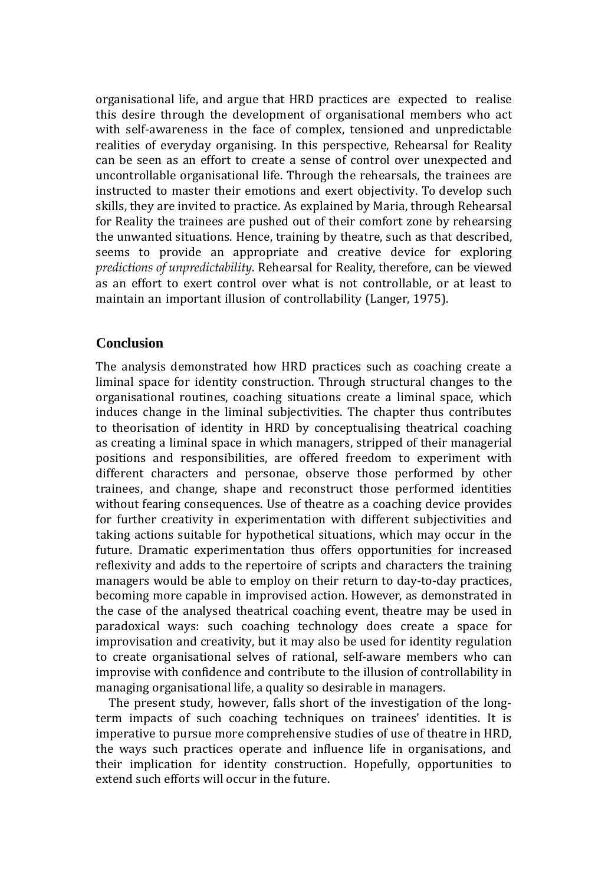organisational life, and argue that HRD practices are expected to realise this desire through the development of organisational members who act with self-awareness in the face of complex, tensioned and unpredictable realities of everyday organising. In this perspective, Rehearsal for Reality can be seen as an effort to create a sense of control over unexpected and uncontrollable organisational life. Through the rehearsals, the trainees are instructed to master their emotions and exert objectivity. To develop such skills, they are invited to practice. As explained by Maria, through Rehearsal for Reality the trainees are pushed out of their comfort zone by rehearsing the unwanted situations. Hence, training by theatre, such as that described, seems to provide an appropriate and creative device for exploring *predictions of unpredictability*. Rehearsal for Reality, therefore, can be viewed as an effort to exert control over what is not controllable, or at least to maintain an important illusion of controllability (Langer, 1975).

#### **Conclusion**

The analysis demonstrated how HRD practices such as coaching create a liminal space for identity construction. Through structural changes to the organisational routines, coaching situations create a liminal space, which induces change in the liminal subjectivities. The chapter thus contributes to theorisation of identity in HRD by conceptualising theatrical coaching as creating a liminal space in which managers, stripped of their managerial positions and responsibilities, are offered freedom to experiment with different characters and personae, observe those performed by other trainees, and change, shape and reconstruct those performed identities without fearing consequences. Use of theatre as a coaching device provides for further creativity in experimentation with different subjectivities and taking actions suitable for hypothetical situations, which may occur in the future. Dramatic experimentation thus offers opportunities for increased reflexivity and adds to the repertoire of scripts and characters the training managers would be able to employ on their return to day-to-day practices, becoming more capable in improvised action. However, as demonstrated in the case of the analysed theatrical coaching event, theatre may be used in paradoxical ways: such coaching technology does create a space for improvisation and creativity, but it may also be used for identity regulation to create organisational selves of rational, self-aware members who can improvise with confidence and contribute to the illusion of controllability in managing organisational life, a quality so desirable in managers.

The present study, however, falls short of the investigation of the longterm impacts of such coaching techniques on trainees' identities. It is imperative to pursue more comprehensive studies of use of theatre in HRD, the ways such practices operate and influence life in organisations, and their implication for identity construction. Hopefully, opportunities to extend such efforts will occur in the future.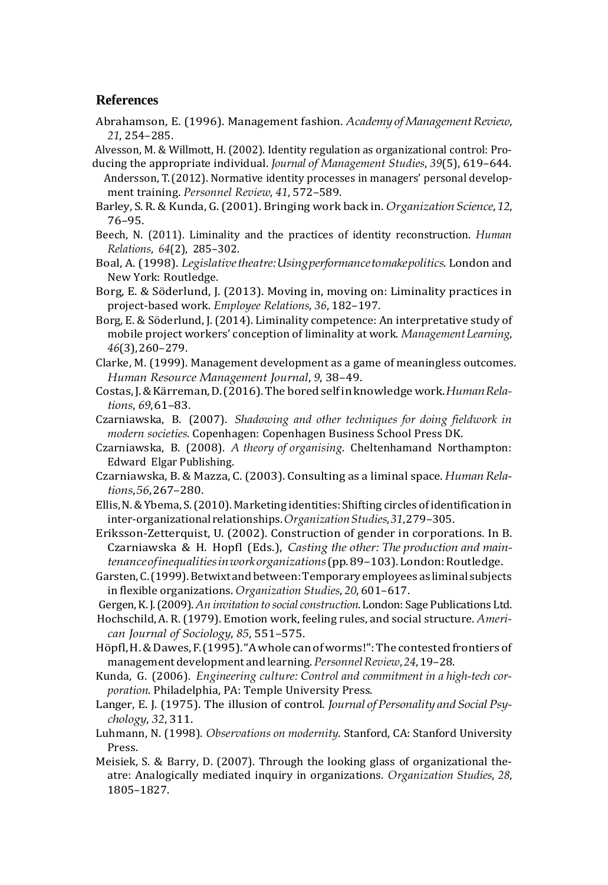#### **References**

Abrahamson, E. (1996). Management fashion. *Academy of ManagementReview*, *21*, 254–285.

Alvesson, M. & Willmott, H. (2002). Identity regulation as organizational control: Pro-

- ducing the appropriate individual. *Journal of Management Studies*, *39*(5), 619–644. Andersson, T. (2012). Normative identity processes in managers' personal development training. *Personnel Review*, *41*, 572–589.
- Barley, S. R. & Kunda, G. (2001). Bringing work back in. *Organization Science*, 12, 76–95.
- Beech, N. (2011). Liminality and the practices of identity reconstruction. *Human Relations*, *64*(2), 285–302.
- Boal, A. (1998). *Legislativetheatre:Usingperformancetomakepolitics*. London and New York: Routledge.
- Borg, E. & Söderlund, J. (2013). Moving in, moving on: Liminality practices in project-based work. *Employee Relations*, *36*, 182–197.
- Borg, E. & Söderlund, J.(2014). Liminality competence: An interpretative study of mobile project workers' conception of liminality at work. *ManagementLearning*, *46*(3),260–279.
- Clarke, M. (1999). Management development as a game of meaningless outcomes. *Human Resource Management Journal*, *9*, 38–49.
- Costas,J.&Kärreman,D.(2016).The boredselfinknowledgework.*HumanRelations*, *69*,61–83.
- Czarniawska, B. (2007). *Shadowing and other techniques for doing fieldwork in modern societies*. Copenhagen: Copenhagen Business School Press DK.
- Czarniawska, B. (2008). *A theory of organising*. Cheltenhamand Northampton: Edward Elgar Publishing.
- Czarniawska, B. & Mazza, C.(2003). Consulting as a liminal space. *HumanRelations*,*56*,267–280.
- Ellis,N.&Ybema, S.(2010).Marketing identities: Shifting circles ofidentification in inter-organizationalrelationships.*OrganizationStudies*,*31*,279–305.
- Eriksson-Zetterquist, U. (2002). Construction of gender in corporations. In B. Czarniawska & H. Hopfl (Eds.), *Casting the other: The production and maintenanceofinequalitiesinworkorganizations*(pp.89–103).London:Routledge.
- Garsten, C. (1999). Betwixt and between: Temporary employees as liminal subjects in flexible organizations. *Organization Studies*, *20*, 601–617.
- Gergen,K.J.(2009).*An invitation to social construction*.London: Sage Publications Ltd.
- Hochschild,A. R. (1979). Emotion work, feeling rules, and social structure. *American Journal of Sociology*, *85*, 551–575.
- Höpfl, H. & Dawes, F. (1995). "A whole can of worms!": The contested frontiers of management development and learning. Personnel Review, 24, 19-28.
- Kunda, G. (2006). *Engineering culture: Control and commitment in a high-tech corporation*. Philadelphia, PA: Temple University Press.
- Langer, E. J. (1975). The illusion of control. *Journal of Personality and SocialPsychology*, *32*, 311.
- Luhmann, N. (1998). *Observations on modernity*. Stanford, CA: Stanford University Press.
- Meisiek, S. & Barry, D. (2007). Through the looking glass of organizational theatre: Analogically mediated inquiry in organizations. *Organization Studies*, *28*, 1805–1827.